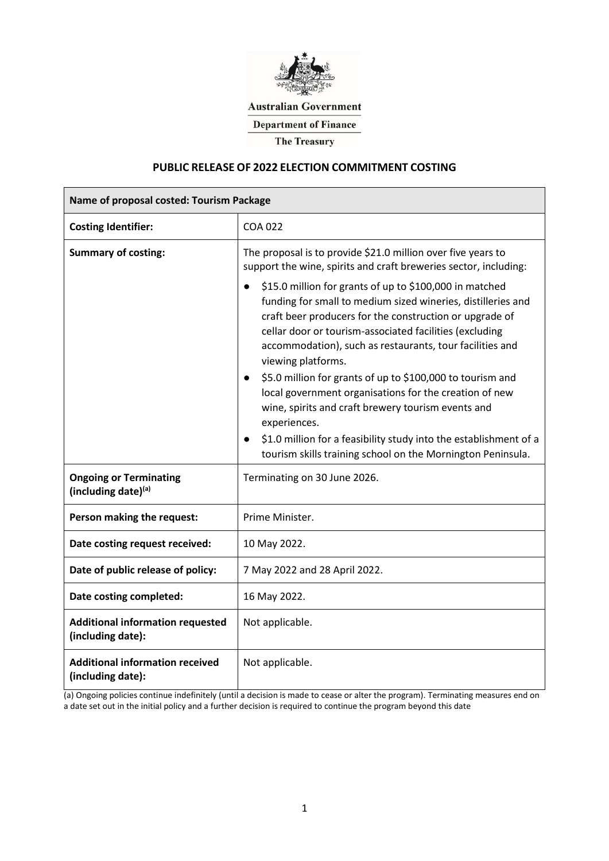

**Australian Government** 

**Department of Finance** 

**The Treasury** 

# **PUBLIC RELEASE OF 2022 ELECTION COMMITMENT COSTING**

| Name of proposal costed: Tourism Package                     |                                                                                                                                                                                                                                                                                                                                                                                                                                                                                                                                                                                                                                                                                                                                                                                                                                              |  |  |  |
|--------------------------------------------------------------|----------------------------------------------------------------------------------------------------------------------------------------------------------------------------------------------------------------------------------------------------------------------------------------------------------------------------------------------------------------------------------------------------------------------------------------------------------------------------------------------------------------------------------------------------------------------------------------------------------------------------------------------------------------------------------------------------------------------------------------------------------------------------------------------------------------------------------------------|--|--|--|
| <b>Costing Identifier:</b>                                   | <b>COA 022</b>                                                                                                                                                                                                                                                                                                                                                                                                                                                                                                                                                                                                                                                                                                                                                                                                                               |  |  |  |
| <b>Summary of costing:</b>                                   | The proposal is to provide \$21.0 million over five years to<br>support the wine, spirits and craft breweries sector, including:<br>\$15.0 million for grants of up to \$100,000 in matched<br>$\bullet$<br>funding for small to medium sized wineries, distilleries and<br>craft beer producers for the construction or upgrade of<br>cellar door or tourism-associated facilities (excluding<br>accommodation), such as restaurants, tour facilities and<br>viewing platforms.<br>\$5.0 million for grants of up to \$100,000 to tourism and<br>$\bullet$<br>local government organisations for the creation of new<br>wine, spirits and craft brewery tourism events and<br>experiences.<br>\$1.0 million for a feasibility study into the establishment of a<br>$\bullet$<br>tourism skills training school on the Mornington Peninsula. |  |  |  |
| <b>Ongoing or Terminating</b><br>(including date)(a)         | Terminating on 30 June 2026.                                                                                                                                                                                                                                                                                                                                                                                                                                                                                                                                                                                                                                                                                                                                                                                                                 |  |  |  |
| Person making the request:                                   | Prime Minister.                                                                                                                                                                                                                                                                                                                                                                                                                                                                                                                                                                                                                                                                                                                                                                                                                              |  |  |  |
| Date costing request received:                               | 10 May 2022.                                                                                                                                                                                                                                                                                                                                                                                                                                                                                                                                                                                                                                                                                                                                                                                                                                 |  |  |  |
| Date of public release of policy:                            | 7 May 2022 and 28 April 2022.                                                                                                                                                                                                                                                                                                                                                                                                                                                                                                                                                                                                                                                                                                                                                                                                                |  |  |  |
| Date costing completed:                                      | 16 May 2022.                                                                                                                                                                                                                                                                                                                                                                                                                                                                                                                                                                                                                                                                                                                                                                                                                                 |  |  |  |
| <b>Additional information requested</b><br>(including date): | Not applicable.                                                                                                                                                                                                                                                                                                                                                                                                                                                                                                                                                                                                                                                                                                                                                                                                                              |  |  |  |
| <b>Additional information received</b><br>(including date):  | Not applicable.                                                                                                                                                                                                                                                                                                                                                                                                                                                                                                                                                                                                                                                                                                                                                                                                                              |  |  |  |

(a) Ongoing policies continue indefinitely (until a decision is made to cease or alter the program). Terminating measures end on a date set out in the initial policy and a further decision is required to continue the program beyond this date